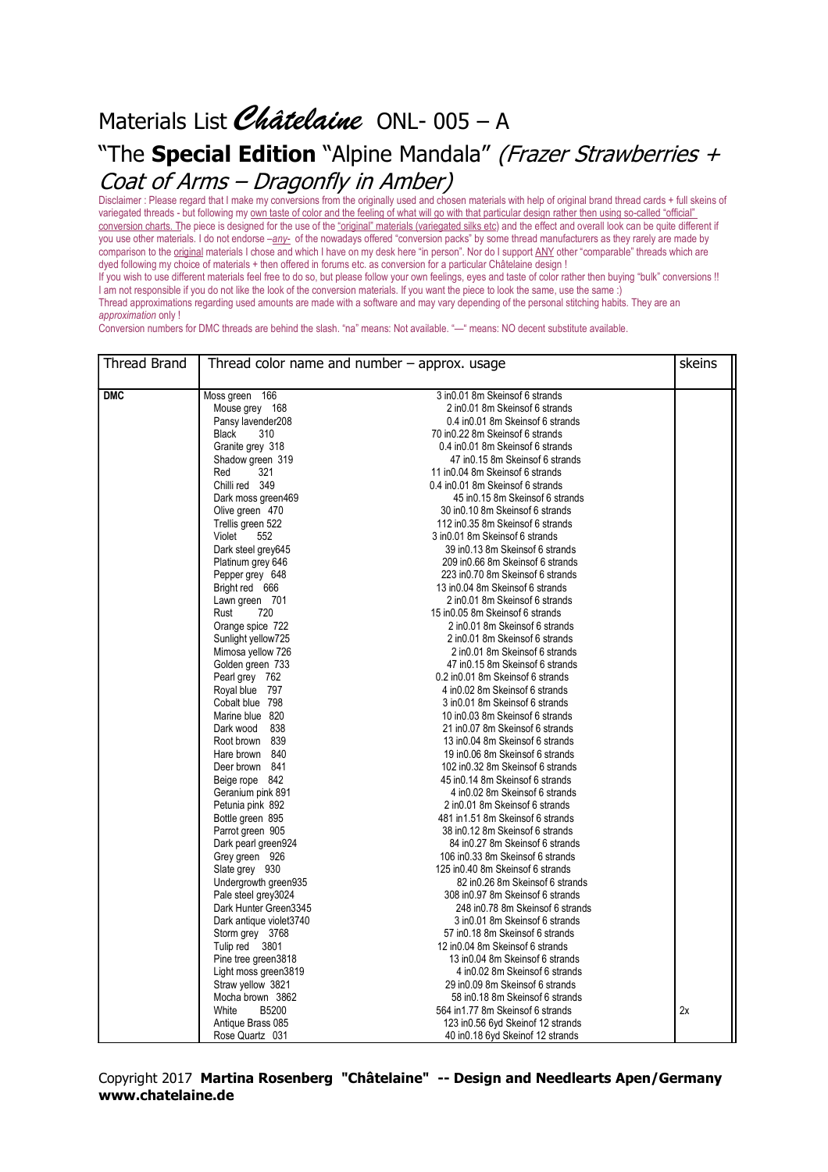## Materials List Châtelaine ONL-005 - A "The **Special Edition** "Alpine Mandala" (Frazer Strawberries + Coat of Arms – Dragonfly in Amber)

Disclaimer : Please regard that I make my conversions from the originally used and chosen materials with help of original brand thread cards + full skeins of variegated threads - but following my own taste of color and the feeling of what will go with that particular design rather then using so-called "official" conversion charts. The piece is designed for the use of the "original" materials (variegated silks etc) and the effect and overall look can be quite different if you use other materials. I do not endorse –*any-* of the nowadays offered "conversion packs" by some thread manufacturers as they rarely are made by comparison to the original materials I chose and which I have on my desk here "in person". Nor do I support ANY other "comparable" threads which are dyed following my choice of materials + then offered in forums etc. as conversion for a particular Châtelaine design !

If you wish to use different materials feel free to do so, but please follow your own feelings, eyes and taste of color rather then buying "bulk" conversions !! I am not responsible if you do not like the look of the conversion materials. If you want the piece to look the same, use the same :) Thread approximations regarding used amounts are made with a software and may vary depending of the personal stitching habits. They are an *approximation* only !

Conversion numbers for DMC threads are behind the slash. "na" means: Not available. "—" means: NO decent substitute available.

| <b>Thread Brand</b> | Thread color name and number $-$ approx. usage |                                     |    |  |
|---------------------|------------------------------------------------|-------------------------------------|----|--|
| <b>DMC</b>          | Moss green 166                                 | 3 in 0.01 8m Skeins of 6 strands    |    |  |
|                     | Mouse grey 168                                 | 2 in 0.01 8m Skeins of 6 strands    |    |  |
|                     | Pansy lavender208                              | 0.4 in 0.01 8m Skeins of 6 strands  |    |  |
|                     | <b>Black</b><br>310                            | 70 in0.22 8m Skeinsof 6 strands     |    |  |
|                     | Granite grey 318                               | 0.4 in 0.01 8m Skeins of 6 strands  |    |  |
|                     | Shadow green 319                               | 47 in 0.15 8m Skeins of 6 strands   |    |  |
|                     | Red<br>321                                     | 11 in 0.04 8m Skeins of 6 strands   |    |  |
|                     | Chilli red 349                                 | 0.4 in 0.01 8m Skeins of 6 strands  |    |  |
|                     | Dark moss green469                             | 45 in 0.15 8m Skeins of 6 strands   |    |  |
|                     | Olive green 470                                | 30 in 0.10 8m Skeinsof 6 strands    |    |  |
|                     | Trellis green 522                              | 112 in 0.35 8m Skeins of 6 strands  |    |  |
|                     | Violet<br>552                                  | 3 in 0.01 8m Skeins of 6 strands    |    |  |
|                     | Dark steel grey645                             | 39 in 0.13 8m Skeins of 6 strands   |    |  |
|                     | Platinum grey 646                              | 209 in 0.66 8m Skeinsof 6 strands   |    |  |
|                     | Pepper grey 648                                | 223 in0.70 8m Skeinsof 6 strands    |    |  |
|                     | Bright red 666                                 | 13 in 0.04 8m Skeins of 6 strands   |    |  |
|                     | Lawn green 701                                 | 2 in 0.01 8m Skeins of 6 strands    |    |  |
|                     | Rust<br>720                                    | 15 in 0.05 8m Skeins of 6 strands   |    |  |
|                     | Orange spice 722                               | 2 in 0.01 8m Skeins of 6 strands    |    |  |
|                     | Sunlight yellow725                             | 2 in 0.01 8m Skeins of 6 strands    |    |  |
|                     | Mimosa yellow 726                              | 2 in 0.01 8m Skeins of 6 strands    |    |  |
|                     | Golden green 733                               | 47 in 0.15 8m Skeins of 6 strands   |    |  |
|                     | Pearl grey 762                                 | 0.2 in 0.01 8m Skeins of 6 strands  |    |  |
|                     | Royal blue 797                                 | 4 in 0.02 8m Skeins of 6 strands    |    |  |
|                     | Cobalt blue 798                                | 3 in 0.01 8m Skeins of 6 strands    |    |  |
|                     | Marine blue 820                                | 10 in 0.03 8m Skeins of 6 strands   |    |  |
|                     | Dark wood<br>838                               | 21 in 0.07 8m Skeins of 6 strands   |    |  |
|                     | Root brown 839                                 | 13 in 0.04 8m Skeins of 6 strands   |    |  |
|                     | Hare brown 840                                 | 19 in 0.06 8m Skeins of 6 strands   |    |  |
|                     | Deer brown 841                                 | 102 in0.32 8m Skeinsof 6 strands    |    |  |
|                     | Beige rope 842                                 | 45 in 0.14 8m Skeins of 6 strands   |    |  |
|                     | Geranium pink 891                              | 4 in 0.02 8m Skeins of 6 strands    |    |  |
|                     | Petunia pink 892                               | 2 in 0.01 8m Skeins of 6 strands    |    |  |
|                     | Bottle green 895                               | 481 in 1.51 8m Skeinsof 6 strands   |    |  |
|                     | Parrot green 905                               | 38 in 0.12 8m Skeins of 6 strands   |    |  |
|                     | Dark pearl green924                            | 84 in 0.27 8m Skeins of 6 strands   |    |  |
|                     | Grey green 926                                 | 106 in 0.33 8m Skeins of 6 strands  |    |  |
|                     | Slate grey 930                                 | 125 in0.40 8m Skeinsof 6 strands    |    |  |
|                     | Undergrowth green935                           | 82 in 0.26 8m Skeins of 6 strands   |    |  |
|                     | Pale steel grey3024                            | 308 in 0.97 8m Skeins of 6 strands  |    |  |
|                     | Dark Hunter Green3345                          | 248 in 0.78 8m Skeins of 6 strands  |    |  |
|                     | Dark antique violet3740                        | 3 in 0.01 8m Skeinsof 6 strands     |    |  |
|                     | Storm grey 3768                                | 57 in 0.18 8m Skeins of 6 strands   |    |  |
|                     | Tulip red 3801                                 | 12 in 0.04 8m Skeins of 6 strands   |    |  |
|                     | Pine tree green3818                            | 13 in 0.04 8m Skeins of 6 strands   |    |  |
|                     | Light moss green3819                           | 4 in 0.02 8m Skeins of 6 strands    |    |  |
|                     | Straw yellow 3821                              | 29 in 0.09 8m Skeins of 6 strands   |    |  |
|                     | Mocha brown 3862                               | 58 in 0.18 8m Skeins of 6 strands   |    |  |
|                     | White<br>B5200                                 | 564 in1.77 8m Skeinsof 6 strands    | 2x |  |
|                     | Antique Brass 085                              | 123 in 0.56 6yd Skein of 12 strands |    |  |
|                     | Rose Quartz 031                                | 40 in 0.18 6yd Skein of 12 strands  |    |  |

## Copyright 2017 **Martina Rosenberg "Châtelaine" -- Design and Needlearts Apen/Germany www.chatelaine.de**